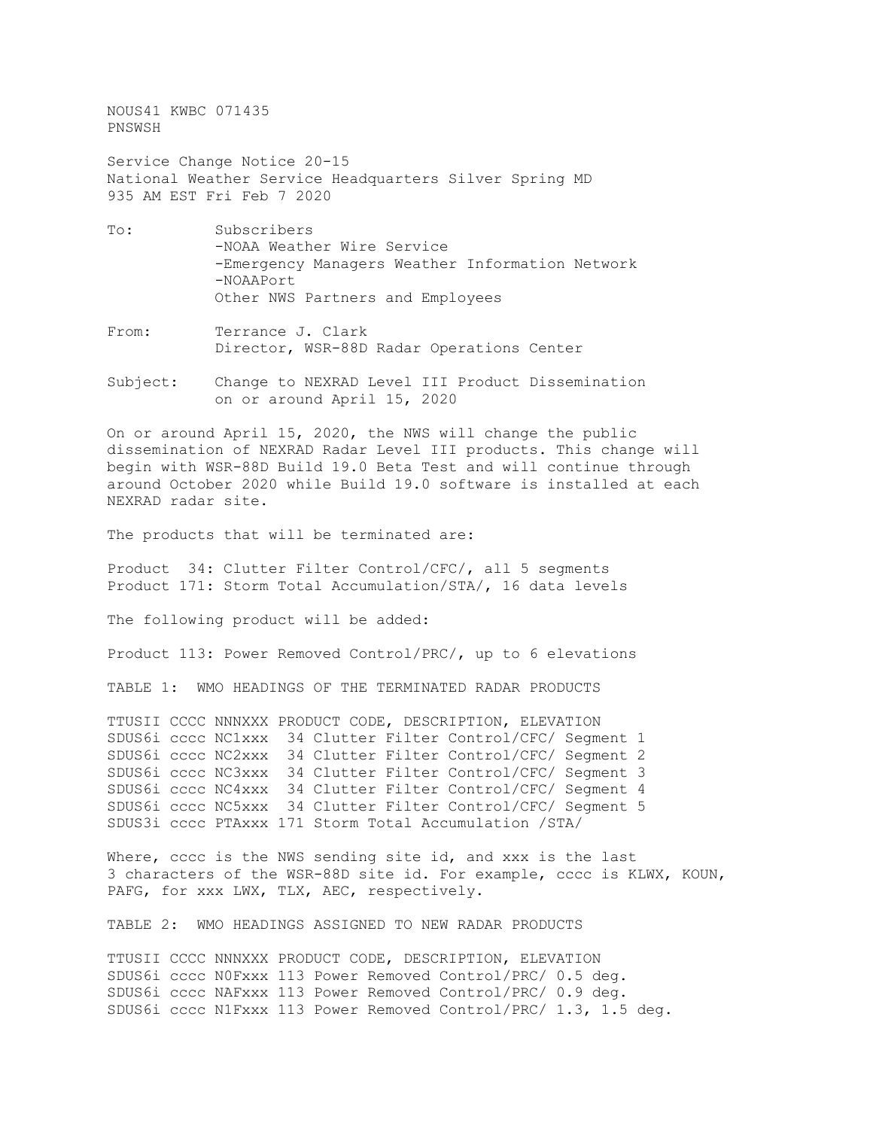NOUS41 KWBC 071435 PNSWSH

Service Change Notice 20-15 National Weather Service Headquarters Silver Spring MD 935 AM EST Fri Feb 7 2020

- To: Subscribers -NOAA Weather Wire Service -Emergency Managers Weather Information Network -NOAAPort Other NWS Partners and Employees
- From: Terrance J. Clark Director, WSR-88D Radar Operations Center
- Subject: Change to NEXRAD Level III Product Dissemination on or around April 15, 2020

On or around April 15, 2020, the NWS will change the public dissemination of NEXRAD Radar Level III products. This change will begin with WSR-88D Build 19.0 Beta Test and will continue through around October 2020 while Build 19.0 software is installed at each NEXRAD radar site.

The products that will be terminated are:

Product 34: Clutter Filter Control/CFC/, all 5 segments Product 171: Storm Total Accumulation/STA/, 16 data levels

The following product will be added:

Product 113: Power Removed Control/PRC/, up to 6 elevations

TABLE 1: WMO HEADINGS OF THE TERMINATED RADAR PRODUCTS

TTUSII CCCC NNNXXX PRODUCT CODE, DESCRIPTION, ELEVATION SDUS6i cccc NC1xxx 34 Clutter Filter Control/CFC/ Segment 1 SDUS6i cccc NC2xxx 34 Clutter Filter Control/CFC/ Segment 2 SDUS6i cccc NC3xxx 34 Clutter Filter Control/CFC/ Segment 3 SDUS6i cccc NC4xxx 34 Clutter Filter Control/CFC/ Segment 4 SDUS6i cccc NC5xxx 34 Clutter Filter Control/CFC/ Segment 5 SDUS3i cccc PTAxxx 171 Storm Total Accumulation /STA/

Where, cccc is the NWS sending site id, and xxx is the last 3 characters of the WSR-88D site id. For example, cccc is KLWX, KOUN, PAFG, for xxx LWX, TLX, AEC, respectively.

TABLE 2: WMO HEADINGS ASSIGNED TO NEW RADAR PRODUCTS

TTUSII CCCC NNNXXX PRODUCT CODE, DESCRIPTION, ELEVATION SDUS6i cccc N0Fxxx 113 Power Removed Control/PRC/ 0.5 deg. SDUS6i cccc NAFxxx 113 Power Removed Control/PRC/ 0.9 deg. SDUS6i cccc N1Fxxx 113 Power Removed Control/PRC/ 1.3, 1.5 deg.